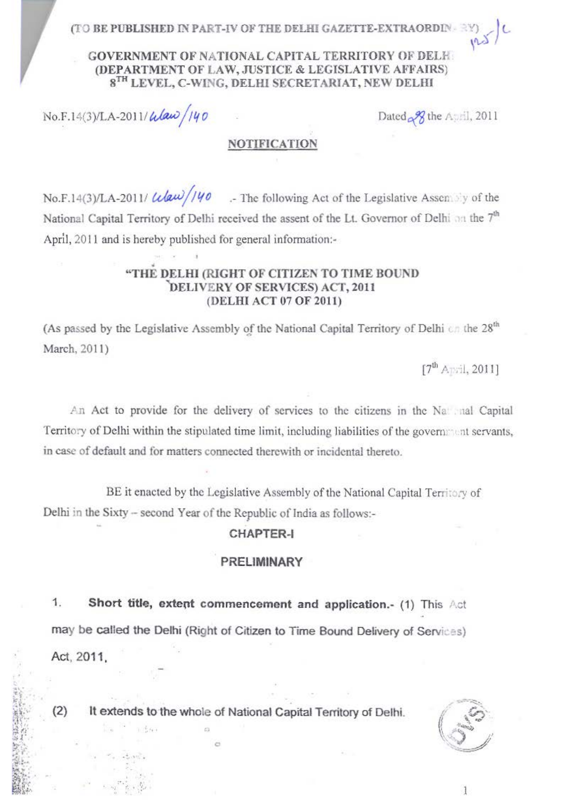(TO BE PUBLISHED IN PART-IV OF THE DELHI GAZEYTE-FXTRAORD)

### GOVERNMENT OF NATIONAL CAPITAL TERRITORY OF BELF. (DEPARTMENT OF LAW JUSTICE & LEGISLATIVE AFFAIRS) 8<sup>TH</sup> LEVEL C-WING DELHI SECRETARIAT NEW DELHI

No E 14(3) T A 2011/A (au) 140

Dated - 97 the Avril 2011

## **NOTIFICATION**

No F LaCUILA 2011/ $\frac{1}{\sqrt{2\pi}}$  //40 ... The following Act of the Legislative Assessment of the National Capital Territory of Delhi received the assent of the Lt. Governor of Delhi on the 7<sup>th</sup> April, 2011 and is hereby published for ceneral informations-

#### "THE DELHI (RIGHT OF CITIZEN TO TIME ROUND DELIVERY OF SERVICES) ACT, 2011 (DELHI ACT 07 OF 2011)

(As passed by the Legislative Assembly of the National Capital Territory of Delhi on the 28<sup>th</sup> March, 2011)

17<sup>th</sup> Arrell, 20111

An Act to provide for the delivery of services to the citizens in the National Capital Territory of Delhi within the stimulated time limit, including liabilities of the government serveres. in case of default and for matters connected therewith or incidental thereto.

BE it enacted by the Legislative Assembly of the National Capital Territory of Delhi in the Sixty - second Year of the Republic of India as follows:-

# CHAPTER.I

# PRELIMINARY

3 Short title, extent commencement and application.- (1) This Act may be called the Delhi (Right of Citizen to Time Bound Delivery of Services) Act 2011

 $(2)$ It extends to the whole of National Capital Territory of Delhi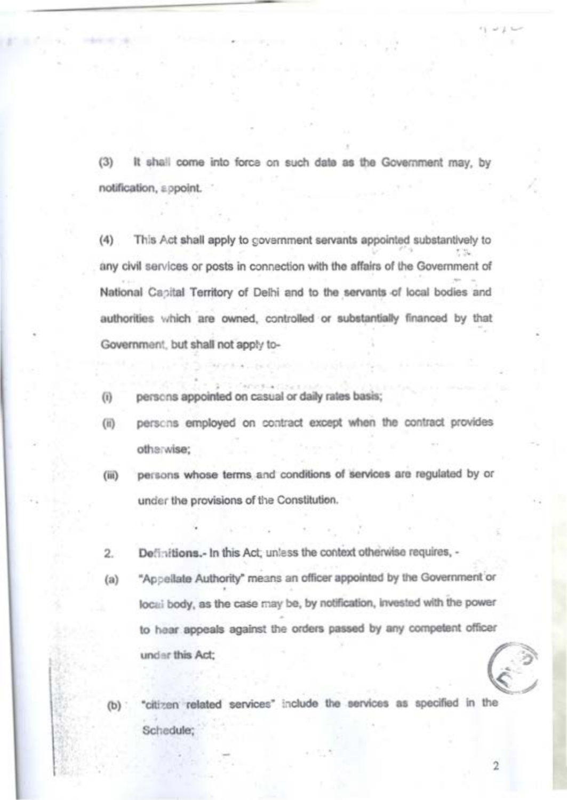(3) It shall come into force on such date as the Government may, by notification, a spoint.

This Act shall apply to covemment servants appointed substantively to  $\mathcal{L}(\mathbf{A})$ any civil services or posts in connection with the affairs of the Government of National Conital Territory of Dalhi and to the seconds of local bodies and authorities which are owned, controlled or substantially financed by that Government, but shall not annly to-

persons appointed on casual or daily rates basis:  $\sqrt{a}$ 

(6) persons employed on contract except when the contract provides otherwise:

necess whose terms and conditions of tiervices are reculated by or  $(40)$ under the provisions of the Constitution.

Definitions - In this Act unlass the context otherwise requires. - $\circ$ 

 $(a)$ "Appellate Authority" means an officer appointed by the Government or local body, as the case may be, by notification, invested with the power to hear appeals against the orders passed by any competent officer under this Act;

"citizen related services" include the services as specified in the Schadule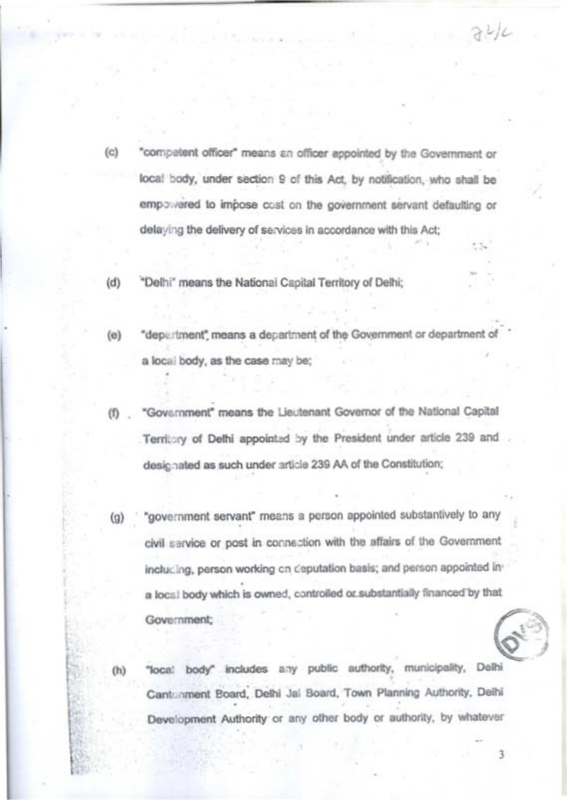$(n)$ "competent officer" means an officer appointed by the Government or local body, under section 9 of this Art, by notification, who shall he empowered to impose cost on the government servant defaulting or delaying the delivery of services in accordance with this Act;

 $211$ 

 $\overline{a}$ 

"Delhi" means the National Canital Territory of Delhi:

 $(a)$ "department" means a deceptment of the Government or department of a local body, as the case may be:

(f) . "Government" means the Lieutenant Governor of the National Capital Territory of Delhi appointed by the President under article 239 and designated as such under article 239 AA of the Constitution:

(g) "government servant" means a person appointed substantively to any civil carvine or nost in connection with the affairs of the Government inclucing, person working on deputation basis; and person appointed ina local body which is owned, controlled or substantially financed by that Government:

"local body" includes any public authority, municipality, Delhi Cantuament Board, Delhi Jal Board, Town Planning Authority, Delhi Development Authority or any other body or authority, by whatever

 $\alpha$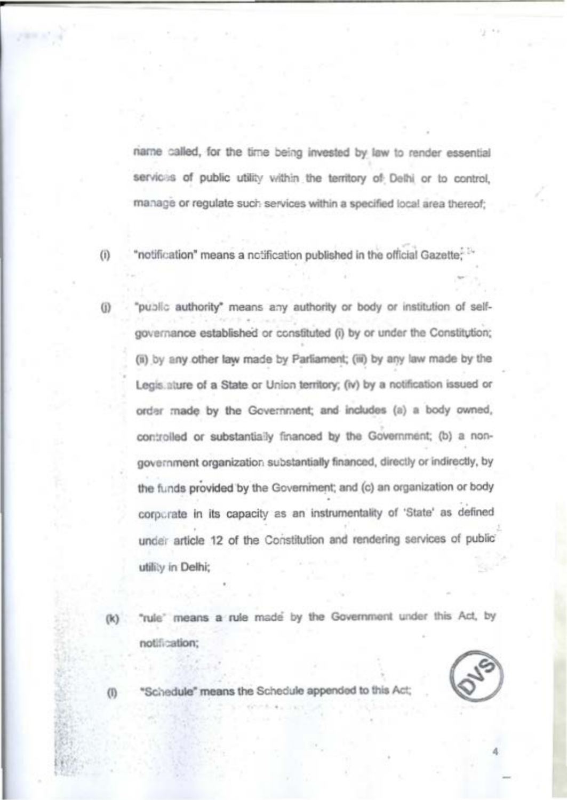name called, for the time being invested by law to render essential servicis of public utility within the territory of Delhi or to control. manage or regulate such services within a specified local area thereof:

"notification" means a notification published in the official Gazatte

"public authority" means any authority or body or institution of selfgovernance established or constituted (i) by or under the Constitution; (ii) by any other taw made by Parliament; (iii) by any law made by the Legislature of a State or Union territory: (iv) by a notification issued or order made by the Government; and includes (a) a body owned, controlled or substantially financed by the Government: (b) a nonenveroment organization substantially financed, directly or indirectly, by the funds provided by the Government; and (c) an organization or body corocrate in its capacity as an instrumentality of 'State' as defined under article 12 of the Constitution and rendering services of public utility in Delhi

"rule" means a rule mode by the Government under this Act, by notification:

"Schedule" means the Schedule appended to this As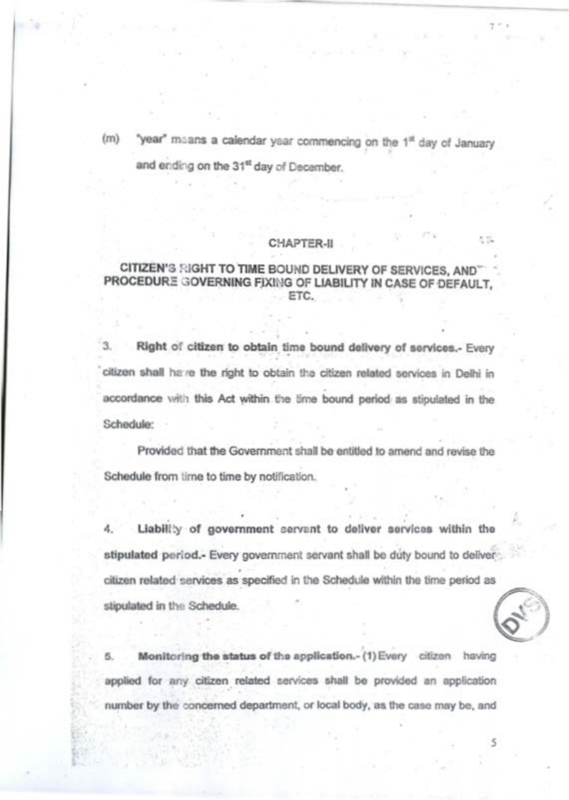"year" maans a calendar year commencing on the 1st day of January

and ending on the 31st day of December

# CHAPTER ..

#### CITIZEN'S SIGHT TO TIME BOUND DELIVERY OF SERVICES. AND PROCEDURE GOVERNING FIXING OF LIABILITY IN CASE OF DEFAULT. STC.

3. Right of citizen to obtain time bound delivery of services. Every 'citizen shall have the right to obtain the citizen related services in Delhi in accordance with this Act within the time bound period as stipulated in the Schedule:

Provided that the Government shall be entitled to amend and revise the Schedule from time to time by notification.

Liability of government servent to deliver services within the 4. stipulated period.- Every government servant shall be duty bound to deliver citizen related services as specified in the Schedule within the time period as stipulated in the Schedule.

Monitoring the status of the application.- (1) Every citizen having applied for any citizen related services shall be provided an application number by the concerned department, or local body, as the case may be, and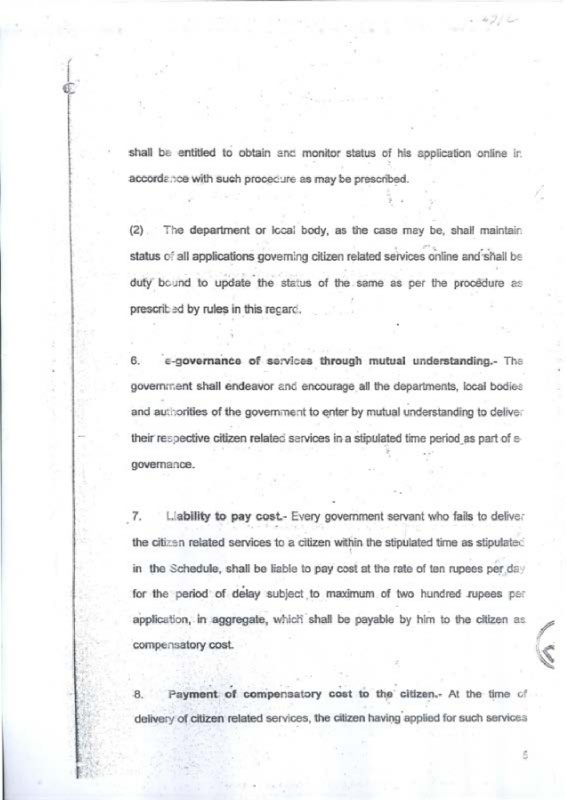shall be entitled to obtain and monitor status of his application online in accordence with such procedure as may be prescribed.

(2). The department or local body, as the case may be, shall maintain ed liefst bns ening aspiring betslen nexitin primewop anoitections (le <sup>to</sup> autata duty bound to update the status of the same as per the procedure as prescribed by rules in this recent.

6. e-governance of services through mutual understanding.- The government shall endeavor and encourage all the departments, local bodies and authorities of the government to enter by mutual understanding to deliver their respective citizen related services in a stipulated time period as part of egovernance.

 $\mathbf{z}$ Liability to pay cost. Every covernment servant who fails to delive: the citizen related services to a citizen within the stipulated time as stipulated in the Schedule, shall be liable to pay cost at the rate of ten rupees per day for the period of delay subject to maximum of two hundred zupees per application, in aggregate, which shall be payable by him to the citizen as compensatory cost.

Payment of compensatory cost to the citizen.- At the time of a. delivery of citizen related services, the citizen having applied for such services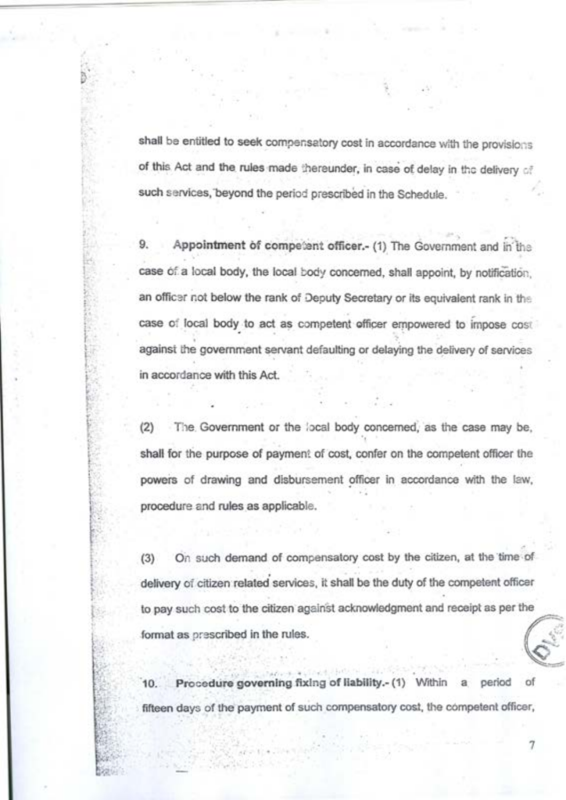shall be entitled to seek compensatory cost in accordance with the nmylelons of this Act and the rules made thereunder, in case of delay in the delivery of such services, beyond the period prescribed in the Schedule.

Appointment of competent officer.- (1) The Government and in the case of a local body, the local body concerned, shall appoint, by notification, an officer not below the rank of Deputy Secretary or its equivalent rank in the case of local body to act as competent efficer empowered to impose cost against the government servant defaulting or delaying the delivery of services in accordance with this Act.

(2) The Government or the local body concerned, as the case may be. shall for the purpose of payment of cost, confer on the competent officer the powers of drawing and disbursement officer in accordance with the law, procedure and rules as applicable.

On such demand of compensatory cost by the citizen, at the time of  $(3)$ delivery of citizen related services, it shall be the duty of the competent officer to pay such cost to the citizen against acknowledgment and receipt as per the format as prescribed in the rules.

10. Procedure governing fixing of liability.- (1) Within a neriod fifteen days of the payment of such compensatory cost, the competent officer,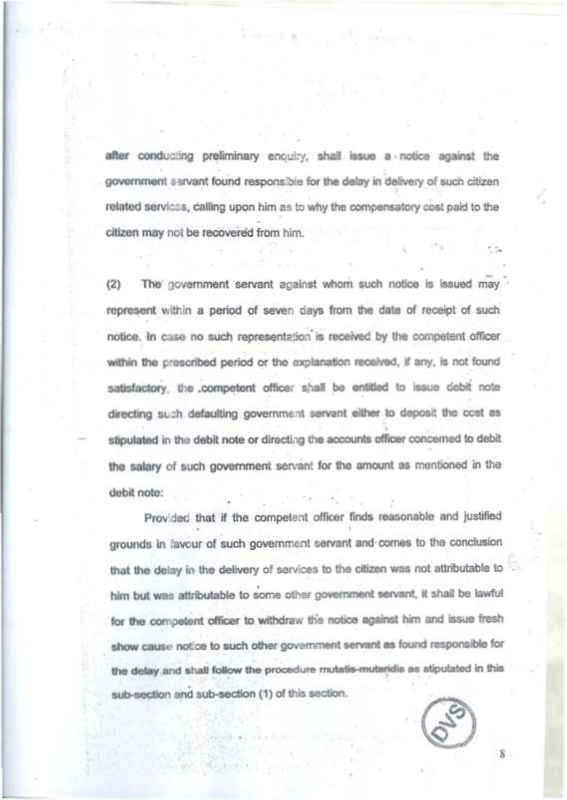after conducting preliminary encuiry, shall issue a notice against the government a srvant found responsible for the delay in delivery of such citizen related services, dailing upon him as to why the compensatory cost paid to the citizen may not be recovered from him

The covernment servent against whom such notice is lasued may represent within a period of seven days from the date of receipt of such notice. In case no such representation is received by the competent officer within the prescribed period or the explanation regalved. If any, is not found satisfactory, the competent officer shall be entitled to issue debit note directing such defaulting government servant either to deposit the cost as stinutated in the debit note or directing the accounts officer concerned to debit the salary of such government servant for the amount as mentioned in the debit note

Provided that if the competent officer finds reasonable and justified grounds in favour of such government servant and comes to the conclusion that the delay in the delivery of services to the oltizen was not attributable to him but was attributable to some other government servant, it shall be lawful for the competent officer to withdraw the notice against him and issue fresh show cause notice to such other government servant as found responsible for the delay and shall follow the procedure mutatis-mutaridis as stipulated in this sub-section and sub-section (1) of this section.

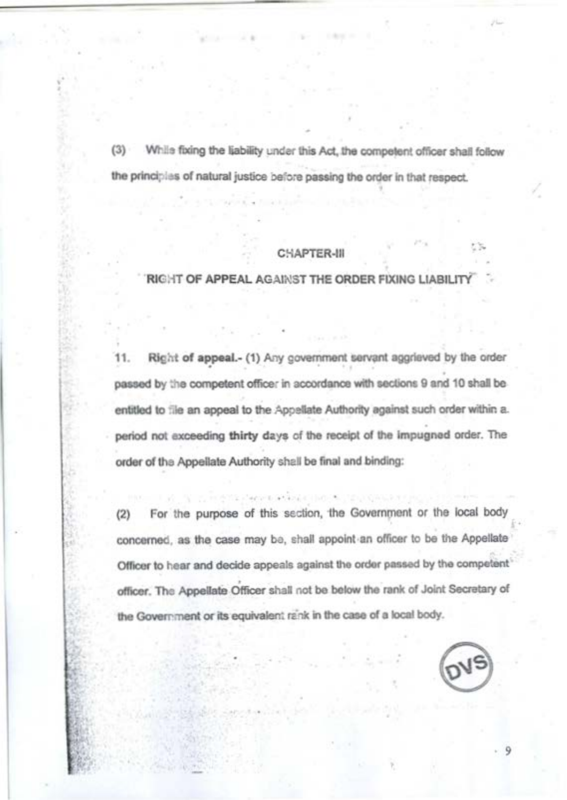(3) While foing the liability under this Act, the competent officer shall follow the principles of natural justice before passing the order in that respect.

# CHAPTER-III

**BIGHT OF APPEAL AGAINST THE ORDER FIXING LIABILITY** 

11. Richt of appeal,- (1) Any covemment servant aggrisved by the order passed by the competent officer in accordance with sections 9 and 10 shall be entitled to file an anneal to the Anneliate Authority against such order within a. period not exceeding thirty days of the receipt of the impugned order. The order of the Appellate Authority shall be final and binding:

For the purpose of this section, the Government or the local bod  $(2)$ concerned, as the case may bo, shall appoint an officer to be the Appellate Officer to hear and decide appeals against the order passed by the competent officer. The Appellate Officer shall not be below the rank of Joint Secretary of the Government or its equivalent rank in the case of a local body.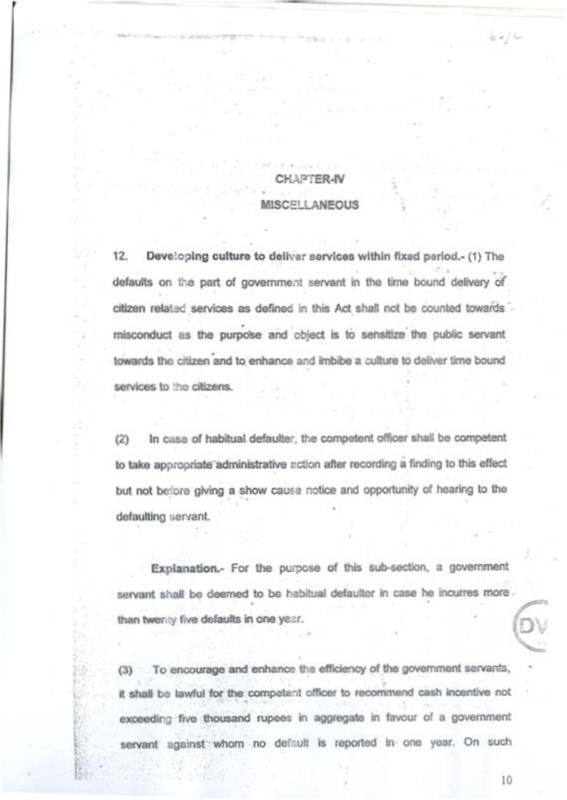**MANYER BA** 

## **SCELLANEOUS**

12. Developing culture to deliver services within fixed pariod.- (1) The defaults on the part of preseminant servent in the time bound defivery of citizen related services as defined in this Act shall not be counted towards misconduct as the purpose and object is to sensitize the oublic servant towards the citizen and to enhance and imbibe a culture to deliver time bound services to the citizens.

 $^{12}$ In case of habitual defaulter, the competent officer shall be competent to take appropriate administrative action after recording a finding to this effect. but not before giving a show cause notice and opportunity of hearing to the defaulting servant.

Explanation - For the number of this sub-section, a government servant shall be deemed to be habitual defaultor in case he incurres more than twenty five defaults in one year.

(3) To encourage and enhance the efficiency of the government servants, it shall be lawful for the competent officer to recommend cash incentive not exceeding five thousand rupees in aggregate in favour of a government servant against whom no default is reported in one year. On such

 $10$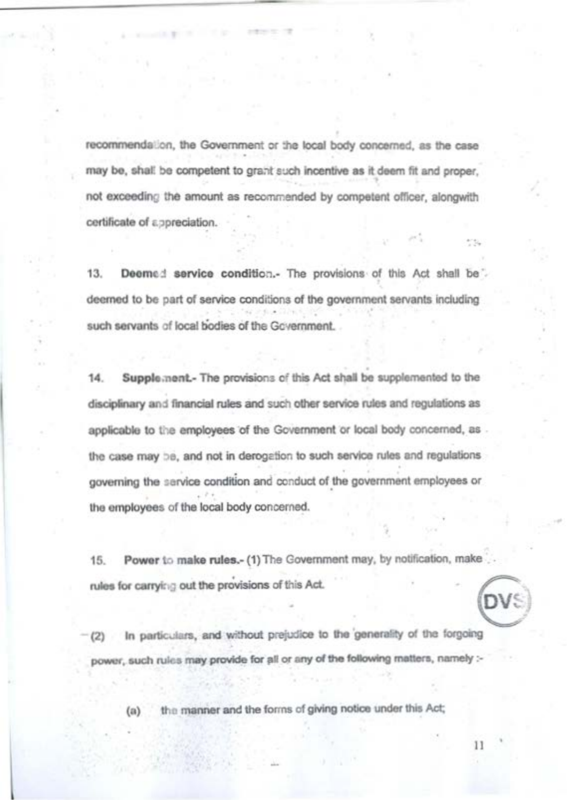recommendation, the Government or the local body concerned, as the case may be shall be competent to grant such legentius as it doem fit and croper not exceeding the amount as recommended by competent officer, alongwith certificate of appreciation.

and the state of the local

 $13<sup>1</sup>$ Deemed service condition.- The provisions of this Act shall be deemed to be part of service conditions of the government servants including such servants of local bodies of the Government.

 $14.$ Supple negt- The provisions of this Act shall be supplemented to the disciplinary and financial rules and such other service rules and reculations as applicable to the employees of the Government or local body concerned, as the case may be, and not in derogetion to such service rules and regulations governing the service condition and conduct of the government employees or the employees of the local body concerned.

15. Power to make rules.- (1) The Government may, by notification, make rules for carrying out the provisions of this Act.

(2) In particulars, and without prejudice to the generality of the forgoing power, such rules may provide for all or any of the following matters, namely :-

the manner and the forms of giving notice under this Act:  $f(n)$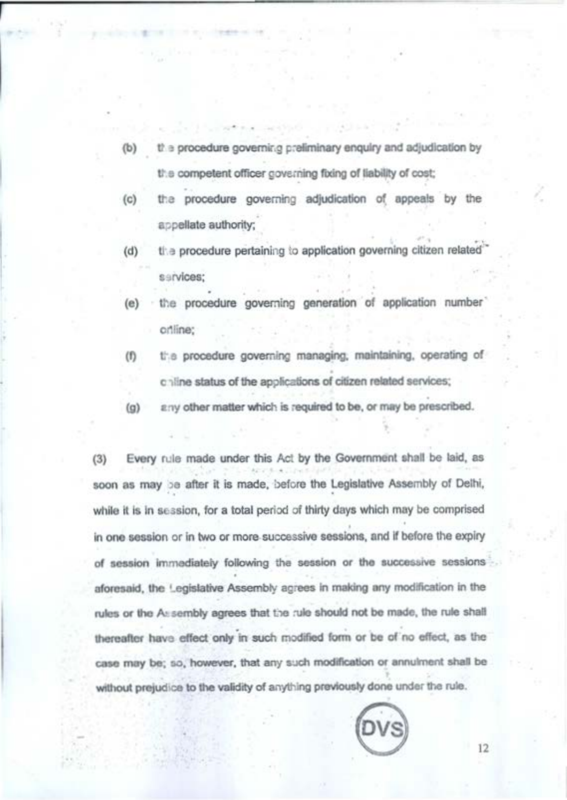the procedure opverning preliminary engulay and adjudication by the competent officer governing foring of liability of cost:

and the state of the

- the procedure governing adjudication of appeals by the  $f(n)$ accellate authority.
- $\overline{a}$ the procedure pertaining to application governing citizen related echings
- the procedure governing generation of application number offine
- $\omega$ the procedure governing managing, maintaining, operating of chine status of the applications of citizen related services:
- $f(n)$ any other matter which is required to be, or may be prescribed.

Every rule made under this Act by the Government shall be laid, as  $(3)$ soon as may be after it is made, before the Legislative Assembly of Delhi. while it is in session, for a total period of thirty days which may be comprised in one session or in two or more successive sessions, and if before the expiry of exercise immediately following the exercise or the successive speakans' aforesaid, the Legislative Assembly agrees in making any modification in the rules or the Assembly agrees that the rule should not be made, the rule shall thereafter have effect only in such modified form or be of no effect, as the case may be: so, however, that any such modification or annuiment shall be without prejudice to the validity of anything previously done under the rule.



 $12$